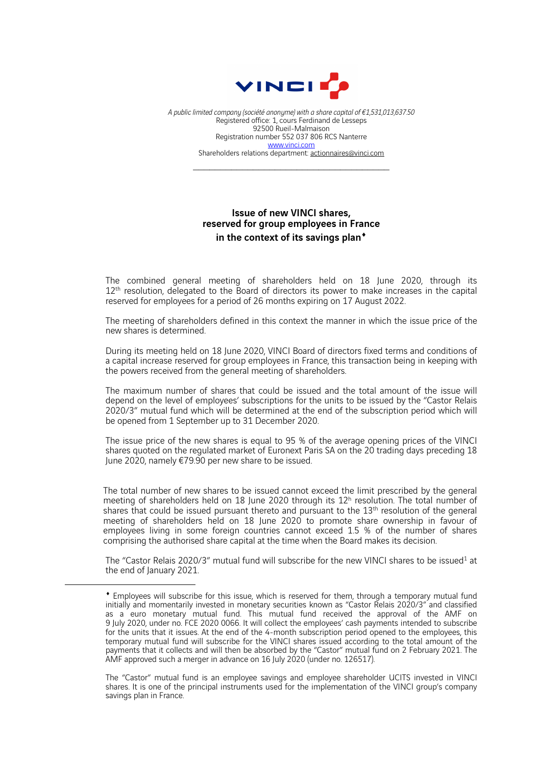

*A public limited company (société anonyme) with a share capital of €1,531,013,637.50* Registered office: 1, cours Ferdinand de Lesseps 92500 Rueil-Malmaison Registration number 552 037 806 RCS Nanterre www.vinci.com Shareholders relations department: actionnaires@vinci.com

## Issue of new VINCI shares, reserved for group employees in France in the context of its savings plan<sup>\*</sup>

The combined general meeting of shareholders held on 18 June 2020, through its 12<sup>th</sup> resolution, delegated to the Board of directors its power to make increases in the capital reserved for employees for a period of 26 months expiring on 17 August 2022.

The meeting of shareholders defined in this context the manner in which the issue price of the new shares is determined.

During its meeting held on 18 June 2020, VINCI Board of directors fixed terms and conditions of a capital increase reserved for group employees in France, this transaction being in keeping with the powers received from the general meeting of shareholders.

The maximum number of shares that could be issued and the total amount of the issue will depend on the level of employees' subscriptions for the units to be issued by the "Castor Relais 2020/3" mutual fund which will be determined at the end of the subscription period which will be opened from 1 September up to 31 December 2020.

The issue price of the new shares is equal to 95 % of the average opening prices of the VINCI shares quoted on the regulated market of Euronext Paris SA on the 20 trading days preceding 18 June 2020, namely €79.90 per new share to be issued.

The total number of new shares to be issued cannot exceed the limit prescribed by the general meeting of shareholders held on 18 June 2020 through its 12<sup>h</sup> resolution. The total number of shares that could be issued pursuant thereto and pursuant to the 13<sup>th</sup> resolution of the general meeting of shareholders held on 18 June 2020 to promote share ownership in favour of employees living in some foreign countries cannot exceed 1.5 % of the number of shares comprising the authorised share capital at the time when the Board makes its decision.

The "Castor Relais 2020/3" mutual fund will subscribe for the new VINCI shares to be issued<sup>1</sup> at the end of January 2021.

The "Castor" mutual fund is an employee savings and employee shareholder UCITS invested in VINCI shares. It is one of the principal instruments used for the implementation of the VINCI group's company savings plan in France.

<sup>¨</sup> Employees will subscribe for this issue, which is reserved for them, through a temporary mutual fund initially and momentarily invested in monetary securities known as "Castor Relais 2020/3" and classified as a euro monetary mutual fund. This mutual fund received the approval of the AMF on 9 July 2020, under no. FCE 2020 0066. It will collect the employees' cash payments intended to subscribe for the units that it issues. At the end of the 4-month subscription period opened to the employees, this temporary mutual fund will subscribe for the VINCI shares issued according to the total amount of the payments that it collects and will then be absorbed by the "Castor" mutual fund on 2 February 2021. The AMF approved such a merger in advance on 16 July 2020 (under no. 126517).